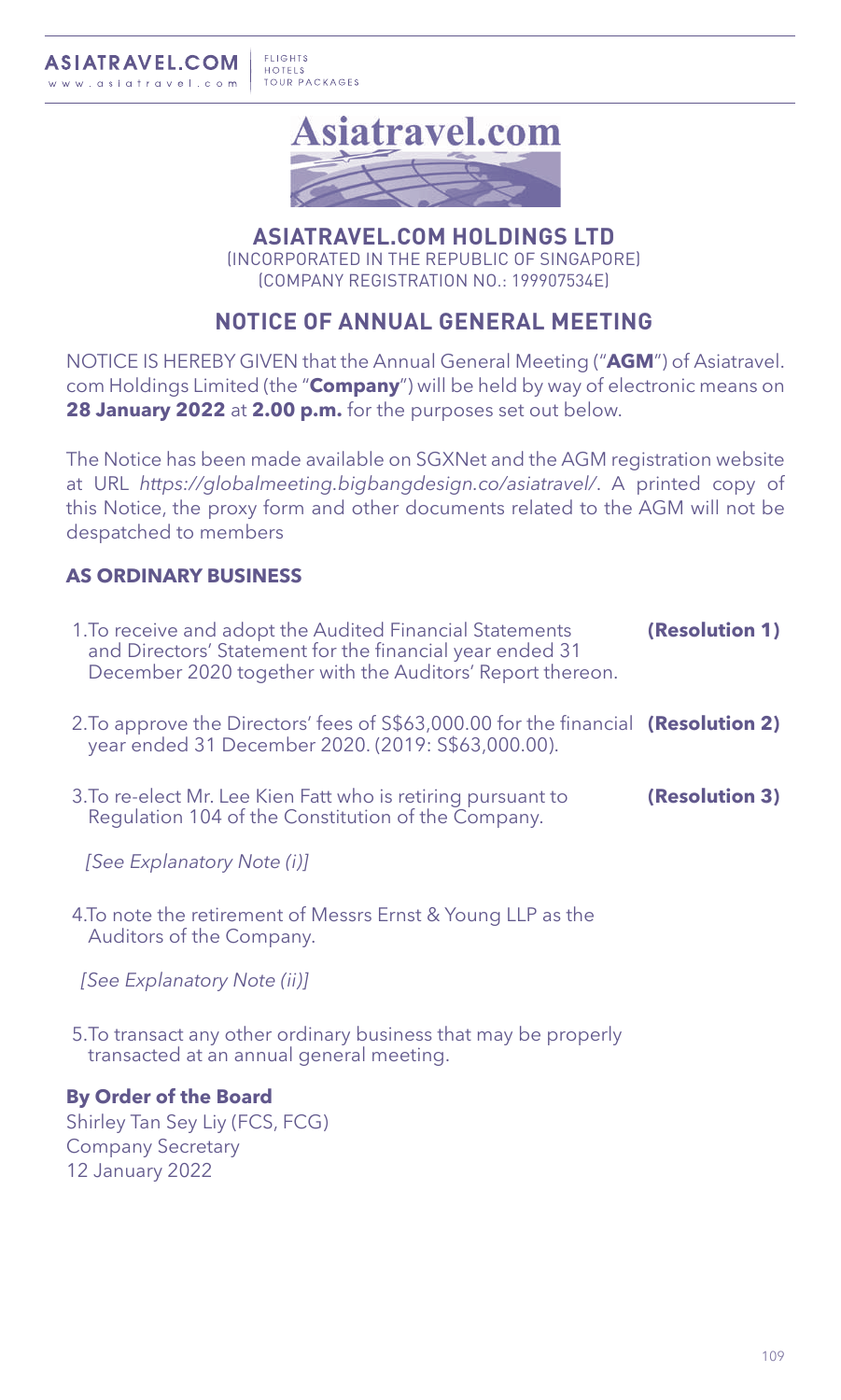

**ASIATRAVEL.COM HOLDINGS LTD** (INCORPORATED IN THE REPUBLIC OF SINGAPORE) (COMPANY REGISTRATION NO.: 199907534E)

# **NOTICE OF ANNUAL GENERAL MEETING**

NOTICE IS HEREBY GIVEN that the Annual General Meeting ("**AGM**") of Asiatravel. com Holdings Limited (the "**Company**") will be held by way of electronic means on **28 January 2022** at **2.00 p.m.** for the purposes set out below.

The Notice has been made available on SGXNet and the AGM registration website at URL *https://globalmeeting.bigbangdesign.co/asiatravel/*. A printed copy of this Notice, the proxy form and other documents related to the AGM will not be despatched to members

# **AS ORDINARY BUSINESS**

- 1.To receive and adopt the Audited Financial Statements and Directors' Statement for the financial year ended 31 December 2020 together with the Auditors' Report thereon. **(Resolution 1)** 2.To approve the Directors' fees of S\$63,000.00 for the financial **(Resolution 2)** year ended 31 December 2020. (2019: S\$63,000.00).
- 3.To re-elect Mr. Lee Kien Fatt who is retiring pursuant to Regulation 104 of the Constitution of the Company. **(Resolution 3)**

 *[See Explanatory Note (i)]*

4.To note the retirement of Messrs Ernst & Young LLP as the Auditors of the Company.

 *[See Explanatory Note (ii)]*

5.To transact any other ordinary business that may be properly transacted at an annual general meeting.

**By Order of the Board** Shirley Tan Sey Liy (FCS, FCG) Company Secretary 12 January 2022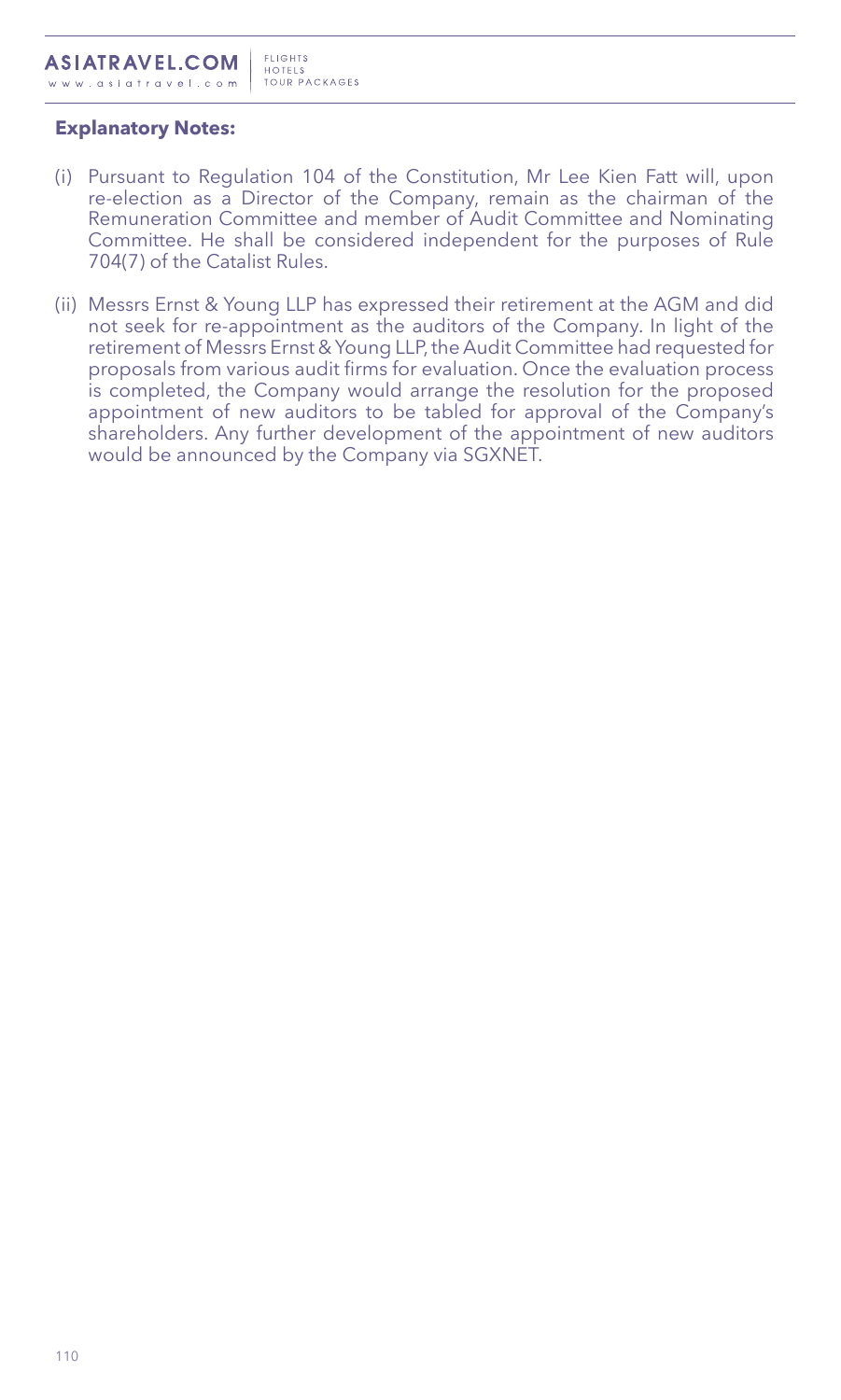# **Explanatory Notes:**

- (i) Pursuant to Regulation 104 of the Constitution, Mr Lee Kien Fatt will, upon re-election as a Director of the Company, remain as the chairman of the Remuneration Committee and member of Audit Committee and Nominating Committee. He shall be considered independent for the purposes of Rule 704(7) of the Catalist Rules.
- (ii) Messrs Ernst & Young LLP has expressed their retirement at the AGM and did not seek for re-appointment as the auditors of the Company. In light of the retirement of Messrs Ernst & Young LLP, the Audit Committee had requested for proposals from various audit firms for evaluation. Once the evaluation process is completed, the Company would arrange the resolution for the proposed appointment of new auditors to be tabled for approval of the Company's shareholders. Any further development of the appointment of new auditors would be announced by the Company via SGXNET.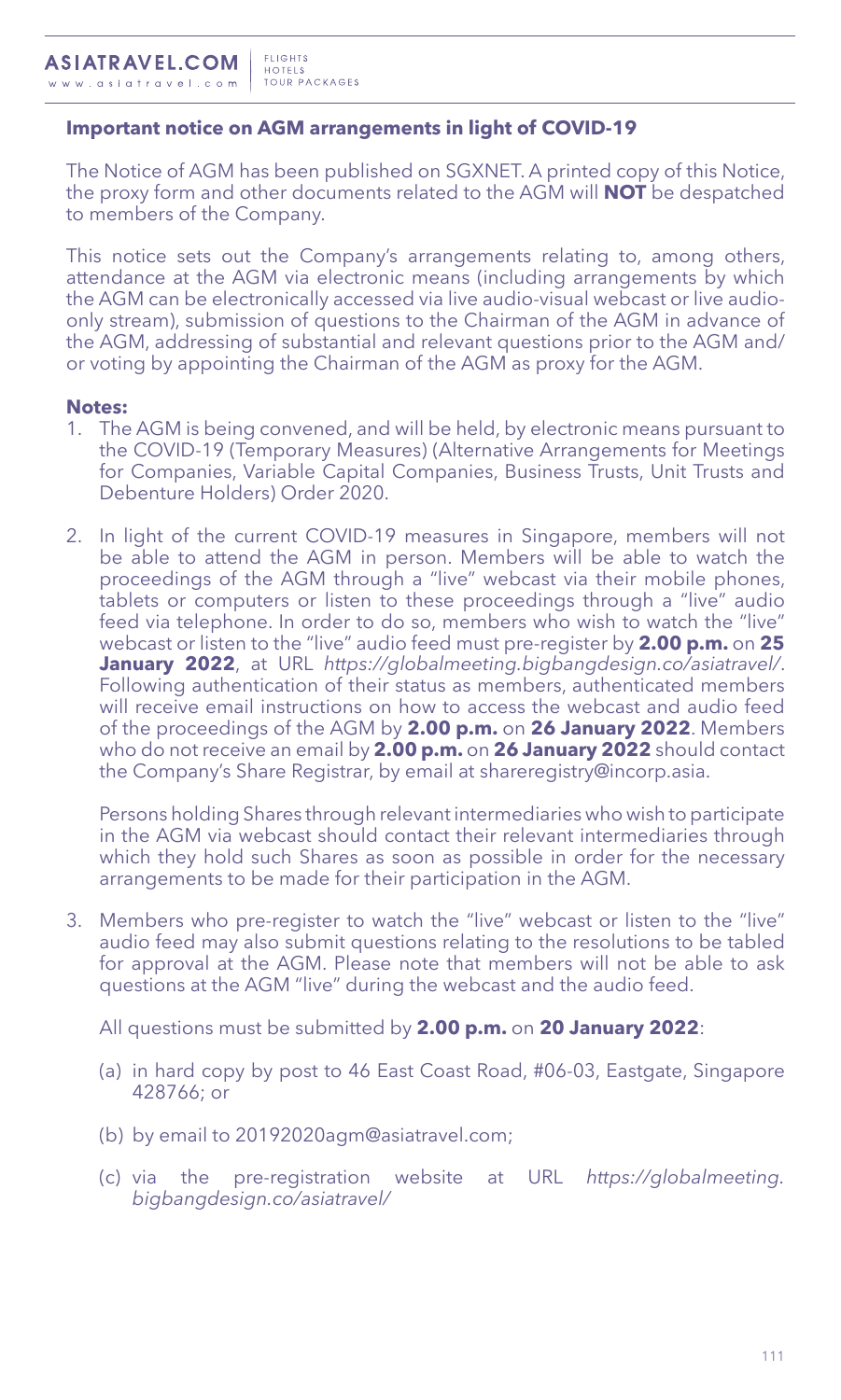# **Important notice on AGM arrangements in light of COVID-19**

The Notice of AGM has been published on SGXNET. A printed copy of this Notice, the proxy form and other documents related to the AGM will **NOT** be despatched to members of the Company.

This notice sets out the Company's arrangements relating to, among others, attendance at the AGM via electronic means (including arrangements by which the AGM can be electronically accessed via live audio-visual webcast or live audioonly stream), submission of questions to the Chairman of the AGM in advance of the AGM, addressing of substantial and relevant questions prior to the AGM and/ or voting by appointing the Chairman of the AGM as proxy for the AGM.

#### **Notes:**

- 1. The AGM is being convened, and will be held, by electronic means pursuant to the COVID-19 (Temporary Measures) (Alternative Arrangements for Meetings for Companies, Variable Capital Companies, Business Trusts, Unit Trusts and Debenture Holders) Order 2020.
- 2. In light of the current COVID-19 measures in Singapore, members will not be able to attend the AGM in person. Members will be able to watch the proceedings of the AGM through a "live" webcast via their mobile phones, tablets or computers or listen to these proceedings through a "live" audio feed via telephone. In order to do so, members who wish to watch the "live" webcast or listen to the "live" audio feed must pre-register by **2.00 p.m.** on **25 January 2022**, at URL *https://globalmeeting.bigbangdesign.co/asiatravel/*. Following authentication of their status as members, authenticated members will receive email instructions on how to access the webcast and audio feed of the proceedings of the AGM by **2.00 p.m.** on **26 January 2022**. Members who do not receive an email by **2.00 p.m.** on **26 January 2022** should contact the Company's Share Registrar, by email at shareregistry@incorp.asia.

Persons holding Shares through relevant intermediaries who wish to participate in the AGM via webcast should contact their relevant intermediaries through which they hold such Shares as soon as possible in order for the necessary arrangements to be made for their participation in the AGM.

3. Members who pre-register to watch the "live" webcast or listen to the "live" audio feed may also submit questions relating to the resolutions to be tabled for approval at the AGM. Please note that members will not be able to ask questions at the AGM "live" during the webcast and the audio feed.

All questions must be submitted by **2.00 p.m.** on **20 January 2022**:

- (a) in hard copy by post to 46 East Coast Road, #06-03, Eastgate, Singapore 428766; or
- (b) by email to 20192020agm@asiatravel.com;
- (c) via the pre-registration website at URL *https://globalmeeting. bigbangdesign.co/asiatravel/*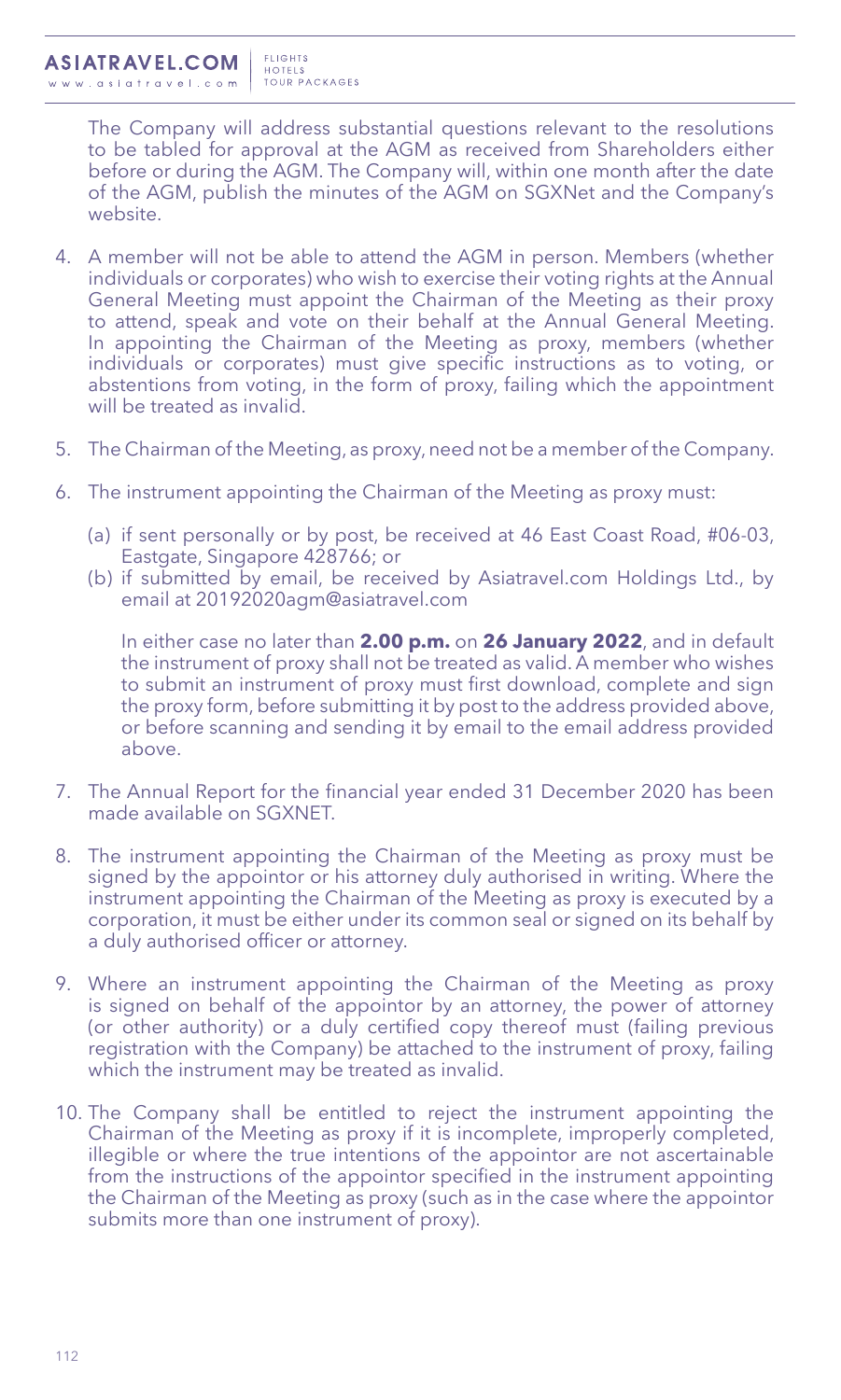The Company will address substantial questions relevant to the resolutions to be tabled for approval at the AGM as received from Shareholders either before or during the AGM. The Company will, within one month after the date of the AGM, publish the minutes of the AGM on SGXNet and the Company's website.

- 4. A member will not be able to attend the AGM in person. Members (whether individuals or corporates) who wish to exercise their voting rights at the Annual General Meeting must appoint the Chairman of the Meeting as their proxy to attend, speak and vote on their behalf at the Annual General Meeting. In appointing the Chairman of the Meeting as proxy, members (whether individuals or corporates) must give specific instructions as to voting, or abstentions from voting, in the form of proxy, failing which the appointment will be treated as invalid.
- 5. The Chairman of the Meeting, as proxy, need not be a member of the Company.
- 6. The instrument appointing the Chairman of the Meeting as proxy must:
	- (a) if sent personally or by post, be received at 46 East Coast Road, #06-03, Eastgate, Singapore 428766; or
	- (b) if submitted by email, be received by Asiatravel.com Holdings Ltd., by email at 20192020agm@asiatravel.com

In either case no later than **2.00 p.m.** on **26 January 2022**, and in default the instrument of proxy shall not be treated as valid. A member who wishes to submit an instrument of proxy must first download, complete and sign the proxy form, before submitting it by post to the address provided above, or before scanning and sending it by email to the email address provided above.

- 7. The Annual Report for the financial year ended 31 December 2020 has been made available on SGXNET.
- 8. The instrument appointing the Chairman of the Meeting as proxy must be signed by the appointor or his attorney duly authorised in writing. Where the instrument appointing the Chairman of the Meeting as proxy is executed by a corporation, it must be either under its common seal or signed on its behalf by a duly authorised officer or attorney.
- 9. Where an instrument appointing the Chairman of the Meeting as proxy is signed on behalf of the appointor by an attorney, the power of attorney (or other authority) or a duly certified copy thereof must (failing previous registration with the Company) be attached to the instrument of proxy, failing which the instrument may be treated as invalid.
- 10. The Company shall be entitled to reject the instrument appointing the Chairman of the Meeting as proxy if it is incomplete, improperly completed, illegible or where the true intentions of the appointor are not ascertainable from the instructions of the appointor specified in the instrument appointing the Chairman of the Meeting as proxy (such as in the case where the appointor submits more than one instrument of proxy).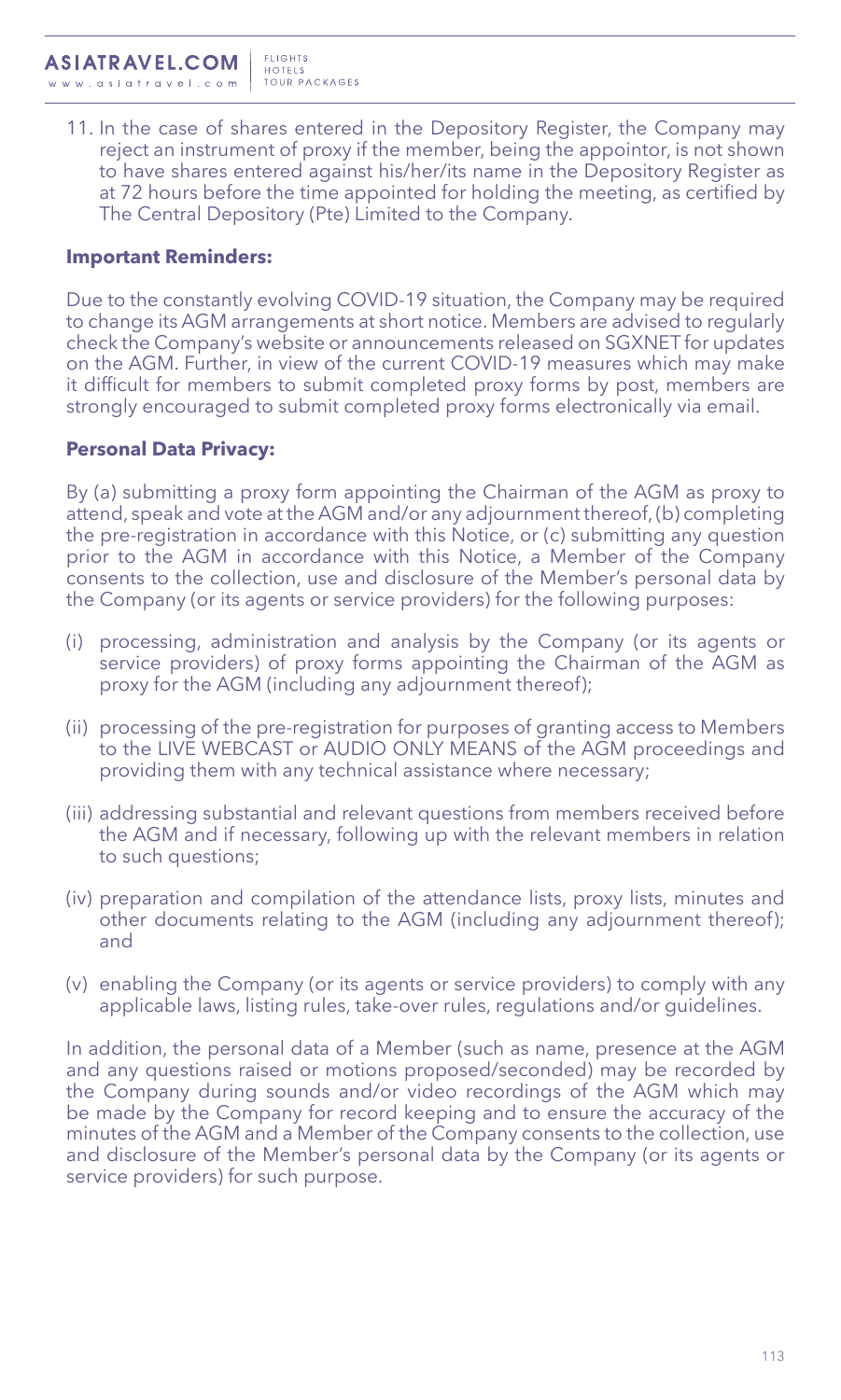11. In the case of shares entered in the Depository Register, the Company may reject an instrument of proxy if the member, being the appointor, is not shown to have shares entered against his/her/its name in the Depository Register as at 72 hours before the time appointed for holding the meeting, as certified by The Central Depository (Pte) Limited to the Company.

### **Important Reminders:**

Due to the constantly evolving COVID-19 situation, the Company may be required to change its AGM arrangements at short notice. Members are advised to regularly check the Company's website or announcements released on SGXNET for updates on the AGM. Further, in view of the current COVID-19 measures which may make it difficult for members to submit completed proxy forms by post, members are strongly encouraged to submit completed proxy forms electronically via email.

## **Personal Data Privacy:**

By (a) submitting a proxy form appointing the Chairman of the AGM as proxy to attend, speak and vote at the AGM and/or any adjournment thereof, (b) completing the pre-registration in accordance with this Notice, or (c) submitting any question prior to the AGM in accordance with this Notice, a Member of the Company consents to the collection, use and disclosure of the Member's personal data by the Company (or its agents or service providers) for the following purposes:

- (i) processing, administration and analysis by the Company (or its agents or service providers) of proxy forms appointing the Chairman of the AGM as proxy for the AGM (including any adjournment thereof);
- (ii) processing of the pre-registration for purposes of granting access to Members to the LIVE WEBCAST or AUDIO ONLY MEANS of the AGM proceedings and providing them with any technical assistance where necessary;
- (iii) addressing substantial and relevant questions from members received before the AGM and if necessary, following up with the relevant members in relation to such questions;
- (iv) preparation and compilation of the attendance lists, proxy lists, minutes and other documents relating to the AGM (including any adjournment thereof); and
- (v) enabling the Company (or its agents or service providers) to comply with any applicable laws, listing rules, take-over rules, regulations and/or guidelines.

In addition, the personal data of a Member (such as name, presence at the AGM and any questions raised or motions proposed/seconded) may be recorded by the Company during sounds and/or video recordings of the AGM which may be made by the Company for record keeping and to ensure the accuracy of the minutes of the AGM and a Member of the Company consents to the collection, use and disclosure of the Member's personal data by the Company (or its agents or service providers) for such purpose.